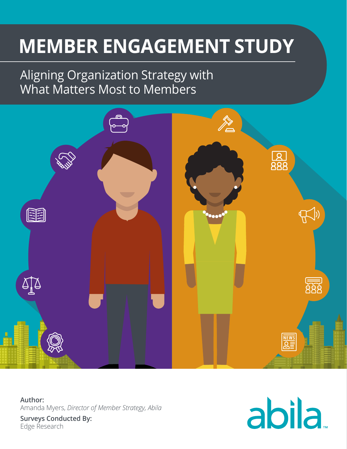# **MEMBER ENGAGEMENT STUDY**

## Aligning Organization Strategy with What Matters Most to Members



**Author:** Amanda Myers, *Director of Member Strategy, Abila* **Surveys Conducted By:** Edge Research

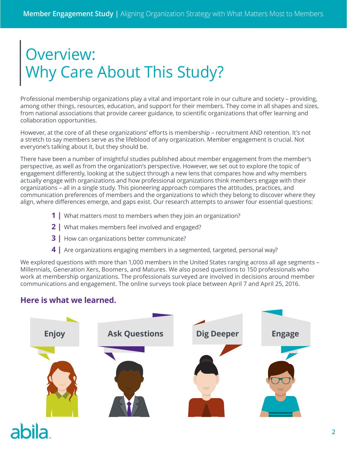## Overview: Why Care About This Study?

Professional membership organizations play a vital and important role in our culture and society – providing, among other things, resources, education, and support for their members. They come in all shapes and sizes, from national associations that provide career guidance, to scientific organizations that offer learning and collaboration opportunities.

However, at the core of all these organizations' efforts is membership – recruitment AND retention. It's not a stretch to say members serve as the lifeblood of any organization. Member engagement is crucial. Not everyone's talking about it, but they should be.

There have been a number of insightful studies published about member engagement from the member's perspective, as well as from the organization's perspective. However, we set out to explore the topic of engagement differently, looking at the subject through a new lens that compares how and why members actually engage with organizations and how professional organizations think members engage with their organizations – all in a single study. This pioneering approach compares the attitudes, practices, and communication preferences of members and the organizations to which they belong to discover where they align, where differences emerge, and gaps exist. Our research attempts to answer four essential questions:

- **1 |** What matters most to members when they join an organization?
- **2 |** What makes members feel involved and engaged?
- **3 |** How can organizations better communicate?
- **4 |** Are organizations engaging members in a segmented, targeted, personal way?

We explored questions with more than 1,000 members in the United States ranging across all age segments – Millennials, Generation Xers, Boomers, and Matures. We also posed questions to 150 professionals who work at membership organizations. The professionals surveyed are involved in decisions around member communications and engagement. The online surveys took place between April 7 and April 25, 2016.

## **Here is what we learned.**

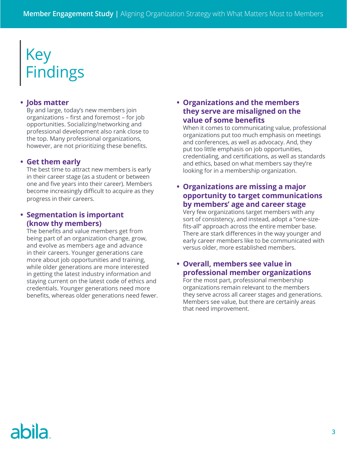## Key Findings

## **• Jobs matter**

By and large, today's new members join organizations – first and foremost – for job opportunities. Socializing/networking and professional development also rank close to the top. Many professional organizations, however, are not prioritizing these benefits.

## **• Get them early**

The best time to attract new members is early in their career stage (as a student or between one and five years into their career). Members become increasingly difficult to acquire as they progress in their careers.

## **• Segmentation is important (know thy members)**

The benefits and value members get from being part of an organization change, grow, and evolve as members age and advance in their careers. Younger generations care more about job opportunities and training, while older generations are more interested in getting the latest industry information and staying current on the latest code of ethics and credentials. Younger generations need more benefits, whereas older generations need fewer.

## **• Organizations and the members they serve are misaligned on the value of some benefits**

When it comes to communicating value, professional organizations put too much emphasis on meetings and conferences, as well as advocacy. And, they put too little emphasis on job opportunities, credentialing, and certifications, as well as standards and ethics, based on what members say they're looking for in a membership organization.

## **• Organizations are missing a major opportunity to target communications by members' age and career stage**

Very few organizations target members with any sort of consistency, and instead, adopt a "one-sizefits-all" approach across the entire member base. There are stark differences in the way younger and early career members like to be communicated with versus older, more established members.

## **• Overall, members see value in professional member organizations**

For the most part, professional membership organizations remain relevant to the members they serve across all career stages and generations. Members see value, but there are certainly areas that need improvement.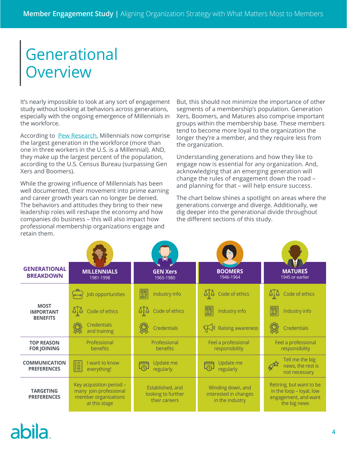## **Generational Overview**

It's nearly impossible to look at any sort of engagement study without looking at behaviors across generations, especially with the ongoing emergence of Millennials in the workforce.

According to [Pew Research,](http://www.pewresearch.org/fact-tank/2015/05/11/millennials-surpass-gen-xers-as-the-largest-generation-in-u-s-labor-force/) Millennials now comprise the largest generation in the workforce (more than one in three workers in the U.S. is a Millennial). AND, they make up the largest percent of the population, according to the U.S. Census Bureau (surpassing Gen Xers and Boomers).

While the growing influence of Millennials has been well documented, their movement into prime earning and career growth years can no longer be denied. The behaviors and attitudes they bring to their new leadership roles will reshape the economy and how companies do business – this will also impact how professional membership organizations engage and retain them.

But, this should not minimize the importance of other segments of a membership's population. Generation Xers, Boomers, and Matures also comprise important groups within the membership base. These members tend to become more loyal to the organization the longer they're a member, and they require less from the organization.

Understanding generations and how they like to engage now is essential for any organization. And, acknowledging that an emerging generation will change the rules of engagement down the road – and planning for that – will help ensure success.

The chart below shines a spotlight on areas where the generations converge and diverge. Additionally, we dig deeper into the generational divide throughout the different sections of this study.

| <b>GENERATIONAL</b><br><b>BREAKDOWN</b>            | <b>MILLENNIALS</b><br>1981-1998                                                             | <b>GEN Xers</b><br>1965-1980                            | <b>BOOMERS</b><br>1946-1964                                   | <b>MATURES</b><br>1945 or earlier                                                            |
|----------------------------------------------------|---------------------------------------------------------------------------------------------|---------------------------------------------------------|---------------------------------------------------------------|----------------------------------------------------------------------------------------------|
|                                                    | Job opportunities                                                                           | <b>DEWS</b><br><b>DEWS</b><br>Industry info             | Code of ethics                                                | Code of ethics                                                                               |
| <b>MOST</b><br><b>IMPORTANT</b><br><b>BENEFITS</b> | $Q_{\rm s}$<br>Code of ethics                                                               | AIA<br>Code of ethics                                   | <b>NEWS</b><br>Industry info                                  | <b>DELEN</b><br>Industry info                                                                |
|                                                    | <b>Credentials</b><br>and training                                                          | <b>Credentials</b>                                      | Raising awareness                                             | <b>Credentials</b>                                                                           |
| <b>TOP REASON</b><br><b>FOR JOINING</b>            | Professional<br>benefits                                                                    | Professional<br>benefits                                | Feel a professional<br>responsibility                         | Feel a professional<br>responsibility                                                        |
| <b>COMMUNICATION</b><br><b>PREFERENCES</b>         | I want to know<br><b>WHE</b><br>everything!                                                 | Update me<br>$\overline{\Omega}$<br>regularly           | Update me<br>regularly                                        | Tell me the big<br>$\pi r$<br>news, the rest is<br>not necessary                             |
| <b>TARGETING</b><br><b>PREFERENCES</b>             | Key acquisition period -<br>many join professional<br>member organizations<br>at this stage | Established, and<br>looking to further<br>their careers | Winding down, and<br>interested in changes<br>in the industry | Retiring, but want to be<br>in the loop - loyal, low<br>engagement, and want<br>the big news |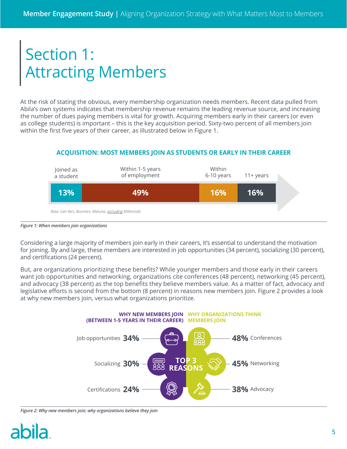## Section 1: Attracting Members

At the risk of stating the obvious, every membership organization needs members. Recent data pulled from Abila's own systems indicates that membership revenue remains the leading revenue source, and increasing the number of dues paying members is vital for growth. Acquiring members early in their careers (or even as college students) is important – this is the key acquisition period. Sixty-two percent of all members join within the first five years of their career, as illustrated below in Figure 1.

## **ACQUISITION: MOST MEMBERS JOIN AS STUDENTS OR EARLY IN THEIR CAREER**



*Figure 1: When members join organizations*

Considering a large majority of members join early in their careers, it's essential to understand the motivation for joining. By and large, these members are interested in job opportunities (34 percent), socializing (30 percent), and certifications (24 percent).

But, are organizations prioritizing these benefits? While younger members and those early in their careers want job opportunities and networking, organizations cite conferences (48 percent), networking (45 percent), and advocacy (38 percent) as the top benefits they believe members value. As a matter of fact, advocacy and legislative efforts is second from the bottom (8 percent) in reasons new members join. Figure 2 provides a look at why new members join, versus what organizations prioritize.



*Figure 2: Why new members join; why organizations believe they join*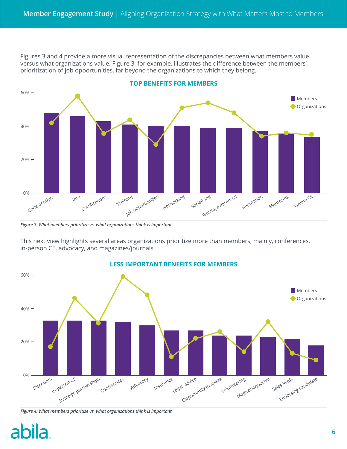Figures 3 and 4 provide a more visual representation of the discrepancies between what members value versus what organizations value. Figure 3, for example, illustrates the difference between the members' prioritization of job opportunities, far beyond the organizations to which they belong.



*Figure 3: What members prioritize vs. what organizations think is important*

This next view highlights several areas organizations prioritize more than members, mainly, conferences, in-person CE, advocacy, and magazines/journals.



#### **LESS IMPORTANT BENEFITS FOR MEMBERS**

hila

*Figure 4: What members prioritize vs. what organizations think is important*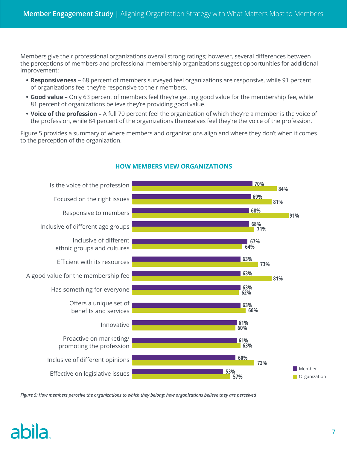Members give their professional organizations overall strong ratings; however, several differences between the perceptions of members and professional membership organizations suggest opportunities for additional improvement:

- **• Responsiveness** 68 percent of members surveyed feel organizations are responsive, while 91 percent of organizations feel they're responsive to their members.
- **• Good value** Only 63 percent of members feel they're getting good value for the membership fee, while 81 percent of organizations believe they're providing good value.
- **• Voice of the profession** A full 70 percent feel the organization of which they're a member is the voice of the profession, while 84 percent of the organizations themselves feel they're the voice of the profession.

Figure 5 provides a summary of where members and organizations align and where they don't when it comes to the perception of the organization.



## **HOW MEMBERS VIEW ORGANIZATIONS**

*Figure 5: How members perceive the organizations to which they belong; how organizations believe they are perceived*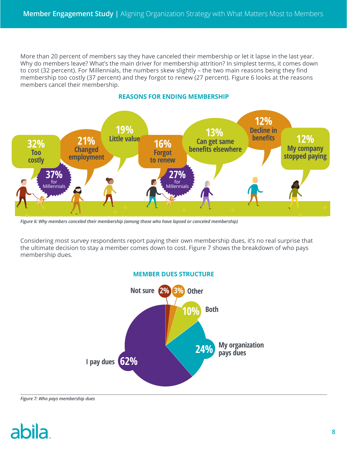More than 20 percent of members say they have canceled their membership or let it lapse in the last year. Why do members leave? What's the main driver for membership attrition? In simplest terms, it comes down to cost (32 percent). For Millennials, the numbers skew slightly – the two main reasons being they find membership too costly (37 percent) and they forgot to renew (27 percent). Figure 6 looks at the reasons members cancel their membership.



## **REASONS FOR ENDING MEMBERSHIP**

*Figure 6: Why members canceled their membership (among those who have lapsed or canceled membership)*

Considering most survey respondents report paying their own membership dues, it's no real surprise that the ultimate decision to stay a member comes down to cost. Figure 7 shows the breakdown of who pays membership dues.



#### *Figure 7: Who pays membership dues*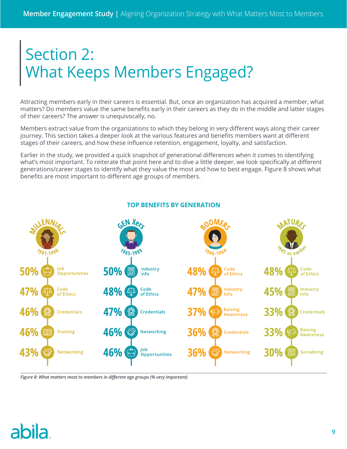## Section 2: What Keeps Members Engaged?

Attracting members early in their careers is essential. But, once an organization has acquired a member, what matters? Do members value the same benefits early in their careers as they do in the middle and latter stages of their careers? The answer is unequivocally, no.

Members extract value from the organizations to which they belong in very different ways along their career journey. This section takes a deeper look at the various features and benefits members want at different stages of their careers, and how these influence retention, engagement, loyalty, and satisfaction.

Earlier in the study, we provided a quick snapshot of generational differences when it comes to identifying what's most important. To reiterate that point here and to dive a little deeper, we look specifically at different generations/career stages to identify what they value the most and how to best engage. Figure 8 shows what benefits are most important to different age groups of members.



## **TOP BENEFITS BY GENERATION**

*Figure 8: What matters most to members in different age groups (% very important)*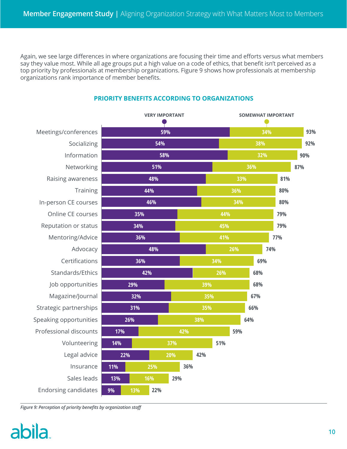Again, we see large differences in where organizations are focusing their time and efforts versus what members say they value most. While all age groups put a high value on a code of ethics, that benefit isn't perceived as a top priority by professionals at membership organizations. Figure 9 shows how professionals at membership organizations rank importance of member benefits.

|                             | <b>VERY IMPORTANT</b> |     |     |     | <b>SOMEWHAT IMPORTANT</b> |     |            |     |     |     |     |  |
|-----------------------------|-----------------------|-----|-----|-----|---------------------------|-----|------------|-----|-----|-----|-----|--|
| Meetings/conferences        | 59%                   |     |     |     | 34%                       |     |            |     | 93% |     |     |  |
| Socializing                 | 54%                   |     |     |     | 38%                       |     |            |     | 92% |     |     |  |
| Information                 | 58%                   |     |     |     |                           | 32% |            |     |     | 90% |     |  |
| Networking                  |                       | 51% |     |     |                           | 36% |            |     |     |     | 87% |  |
| Raising awareness           | 48%                   |     |     |     |                           | 33% |            |     |     |     | 81% |  |
| <b>Training</b>             | 44%                   |     |     |     |                           |     | 36%        |     |     |     | 80% |  |
| In-person CE courses        | 46%                   |     |     |     |                           | 34% |            |     |     |     | 80% |  |
| Online CE courses           | 35%                   |     |     |     | 44%                       |     |            |     |     |     | 79% |  |
| Reputation or status        | 34%                   |     |     |     | 45%                       |     |            |     |     |     | 79% |  |
| Mentoring/Advice            | 36%                   |     |     |     | 41%                       |     |            |     | 77% |     |     |  |
| Advocacy                    |                       |     | 48% |     |                           |     | 26%<br>74% |     |     |     |     |  |
| Certifications              |                       |     | 36% |     | 34%                       |     |            | 69% |     |     |     |  |
| Standards/Ethics            |                       |     | 42% |     |                           | 26% |            |     | 68% |     |     |  |
| Job opportunities           | 29%                   |     |     |     | 39%                       |     |            |     | 68% |     |     |  |
| Magazine/Journal            | 32%                   |     |     |     | 35%                       |     |            |     | 67% |     |     |  |
| Strategic partnerships      | 31%                   |     |     |     | 35%                       |     |            | 66% |     |     |     |  |
| Speaking opportunities      | 26%                   |     |     | 38% |                           |     | 64%        |     |     |     |     |  |
| Professional discounts      | 17%                   |     |     |     | 42%                       |     |            | 59% |     |     |     |  |
| Volunteering                | 14%                   |     | 37% |     | 51%                       |     |            |     |     |     |     |  |
| Legal advice                |                       | 22% |     | 20% |                           | 42% |            |     |     |     |     |  |
| Insurance                   | 11%                   |     | 25% |     | 36%                       |     |            |     |     |     |     |  |
| Sales leads                 | 13%                   |     | 16% | 29% |                           |     |            |     |     |     |     |  |
| <b>Endorsing candidates</b> | 9%                    | 13% | 22% |     |                           |     |            |     |     |     |     |  |

## **PRIORITY BENEFITS ACCORDING TO ORGANIZATIONS**

*Figure 9: Perception of priority benefits by organization staff*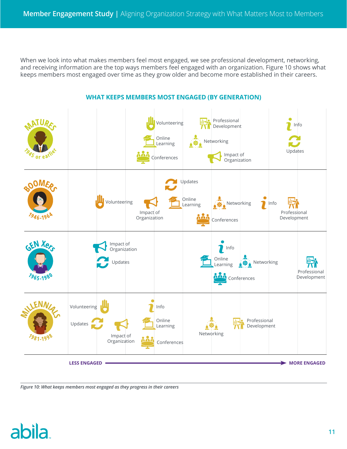When we look into what makes members feel most engaged, we see professional development, networking, and receiving information are the top ways members feel engaged with an organization. Figure 10 shows what keeps members most engaged over time as they grow older and become more established in their careers.



#### **WHAT KEEPS MEMBERS MOST ENGAGED (BY GENERATION)**

*Figure 10: What keeps members most engaged as they progress in their careers*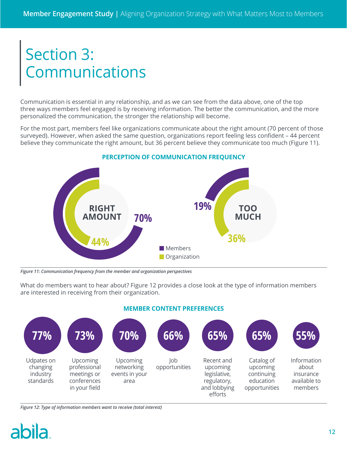## Section 3: Communications

Communication is essential in any relationship, and as we can see from the data above, one of the top three ways members feel engaged is by receiving information. The better the communication, and the more personalized the communication, the stronger the relationship will become.

For the most part, members feel like organizations communicate about the right amount (70 percent of those surveyed). However, when asked the same question, organizations report feeling less confident – 44 percent believe they communicate the right amount, but 36 percent believe they communicate too much (Figure 11).



#### **PERCEPTION OF COMMUNICATION FREQUENCY**

*Figure 11: Communication frequency from the member and organization perspectives*

What do members want to hear about? Figure 12 provides a close look at the type of information members are interested in receiving from their organization.



#### **MEMBER CONTENT PREFERENCES**

#### *Figure 12: Type of information members want to receive (total interest)*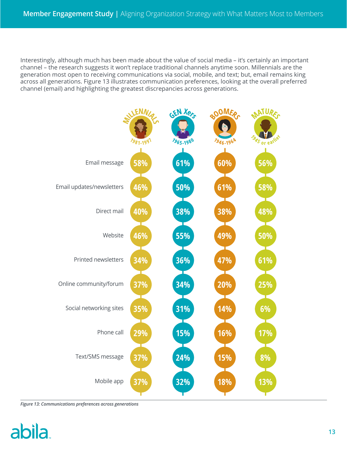Interestingly, although much has been made about the value of social media – it's certainly an important channel – the research suggests it won't replace traditional channels anytime soon. Millennials are the generation most open to receiving communications via social, mobile, and text; but, email remains king across all generations. Figure 13 illustrates communication preferences, looking at the overall preferred channel (email) and highlighting the greatest discrepancies across generations.



*Figure 13: Communications preferences across generations*

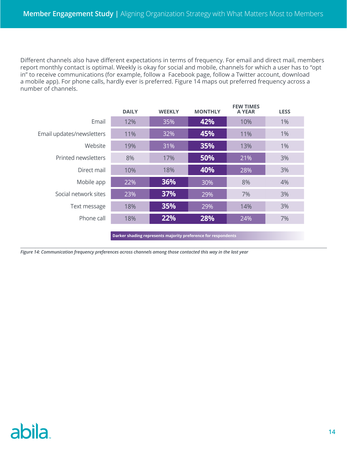Different channels also have different expectations in terms of frequency. For email and direct mail, members report monthly contact is optimal. Weekly is okay for social and mobile, channels for which a user has to "opt in" to receive communications (for example, follow a Facebook page, follow a Twitter account, download a mobile app). For phone calls, hardly ever is preferred. Figure 14 maps out preferred frequency across a number of channels.

|                           | <b>DAILY</b> | <b>WEEKLY</b> | <b>MONTHLY</b> | <b>FEW TIMES</b><br><b>A YEAR</b> | <b>LESS</b> |  |
|---------------------------|--------------|---------------|----------------|-----------------------------------|-------------|--|
| Email                     | 12%          | 35%           | 42%            | 10%                               | $1\%$       |  |
| Email updates/newsletters | 11%          | 32%           | 45%            | 11%                               | 1%          |  |
| Website                   | 19%          | 31%           | 35%            | 13%                               | $1\%$       |  |
| Printed newsletters       | 8%           | 17%           | 50%            | 21%                               | 3%          |  |
| Direct mail               | 10%          | 18%           | 40%            | 28%                               | 3%          |  |
| Mobile app                | 22%          | 36%           | 30%            | 8%                                | 4%          |  |
| Social network sites      | 23%          | 37%           | 29%            | 7%                                | 3%          |  |
| Text message              | 18%          | 35%           | 29%            | 14%                               | 3%          |  |
| Phone call                | 18%          | 22%           | 28%            | 24%                               | 7%          |  |
|                           |              |               |                |                                   |             |  |

**Darker shading represents majority preference for respondents**

*Figure 14: Communication frequency preferences across channels among those contacted this way in the last year*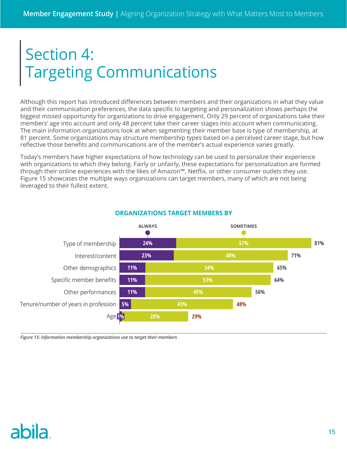## Section 4: Targeting Communications

Although this report has introduced differences between members and their organizations in what they value and their communication preferences, the data specific to targeting and personalization shows perhaps the biggest missed opportunity for organizations to drive engagement. Only 29 percent of organizations take their members' age into account and only 48 percent take their career stages into account when communicating. The main information organizations look at when segmenting their member base is type of membership, at 81 percent. Some organizations may structure membership types based on a perceived career stage, but how reflective those benefits and communications are of the member's actual experience varies greatly.

Today's members have higher expectations of how technology can be used to personalize their experience with organizations to which they belong. Fairly or unfairly, these expectations for personalization are formed through their online experiences with the likes of Amazon™, Netflix, or other consumer outlets they use. Figure 15 showcases the multiple ways organizations can target members, many of which are not being leveraged to their fullest extent.



## **ORGANIZATIONS TARGET MEMBERS BY**

*Figure 15: Information membership organizations use to target their members*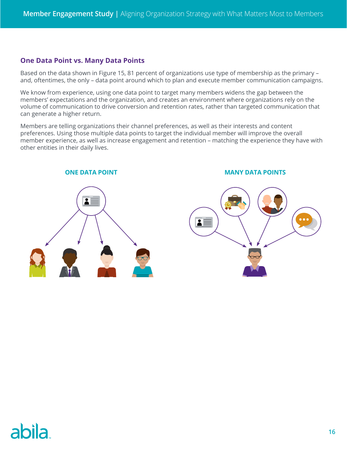## **One Data Point vs. Many Data Points**

Based on the data shown in Figure 15, 81 percent of organizations use type of membership as the primary – and, oftentimes, the only – data point around which to plan and execute member communication campaigns.

We know from experience, using one data point to target many members widens the gap between the members' expectations and the organization, and creates an environment where organizations rely on the volume of communication to drive conversion and retention rates, rather than targeted communication that can generate a higher return.

Members are telling organizations their channel preferences, as well as their interests and content preferences. Using those multiple data points to target the individual member will improve the overall member experience, as well as increase engagement and retention – matching the experience they have with other entities in their daily lives.



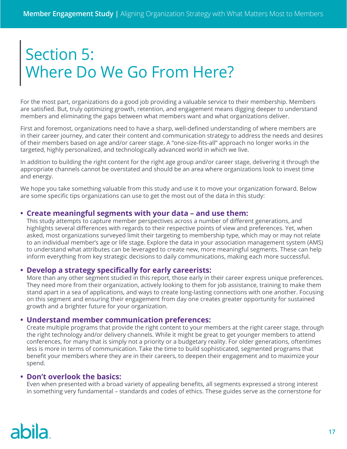## Section 5: Where Do We Go From Here?

For the most part, organizations do a good job providing a valuable service to their membership. Members are satisfied. But, truly optimizing growth, retention, and engagement means digging deeper to understand members and eliminating the gaps between what members want and what organizations deliver.

First and foremost, organizations need to have a sharp, well-defined understanding of where members are in their career journey, and cater their content and communication strategy to address the needs and desires of their members based on age and/or career stage. A "one-size-fits-all" approach no longer works in the targeted, highly personalized, and technologically advanced world in which we live.

In addition to building the right content for the right age group and/or career stage, delivering it through the appropriate channels cannot be overstated and should be an area where organizations look to invest time and energy.

We hope you take something valuable from this study and use it to move your organization forward. Below are some specific tips organizations can use to get the most out of the data in this study:

## **• Create meaningful segments with your data – and use them:**

This study attempts to capture member perspectives across a number of different generations, and highlights several differences with regards to their respective points of view and preferences. Yet, when asked, most organizations surveyed limit their targeting to membership type, which may or may not relate to an individual member's age or life stage. Explore the data in your association management system (AMS) to understand what attributes can be leveraged to create new, more meaningful segments. These can help inform everything from key strategic decisions to daily communications, making each more successful.

### **• Develop a strategy specifically for early careerists:**

More than any other segment studied in this report, those early in their career express unique preferences. They need more from their organization, actively looking to them for job assistance, training to make them stand apart in a sea of applications, and ways to create long-lasting connections with one another. Focusing on this segment and ensuring their engagement from day one creates greater opportunity for sustained growth and a brighter future for your organization.

### **• Understand member communication preferences:**

Create multiple programs that provide the right content to your members at the right career stage, through the right technology and/or delivery channels. While it might be great to get younger members to attend conferences, for many that is simply not a priority or a budgetary reality. For older generations, oftentimes less is more in terms of communication. Take the time to build sophisticated, segmented programs that benefit your members where they are in their careers, to deepen their engagement and to maximize your spend.

### **• Don't overlook the basics:**

Even when presented with a broad variety of appealing benefits, all segments expressed a strong interest in something very fundamental – standards and codes of ethics. These guides serve as the cornerstone for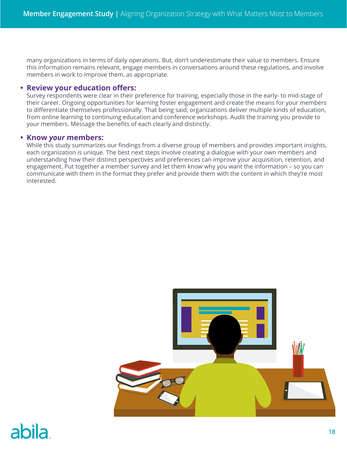many organizations in terms of daily operations. But, don't underestimate their value to members. Ensure this information remains relevant, engage members in conversations around these regulations, and involve members in work to improve them, as appropriate.

#### **• Review your education offers:**

Survey respondents were clear in their preference for training, especially those in the early- to mid-stage of their career. Ongoing opportunities for learning foster engagement and create the means for your members to differentiate themselves professionally. That being said, organizations deliver multiple kinds of education, from online learning to continuing education and conference workshops. Audit the training you provide to your members. Message the benefits of each clearly and distinctly.

#### **• Know** *your* **members:**

While this study summarizes our findings from a diverse group of members and provides important insights, each organization is unique. The best next steps involve creating a dialogue with your own members and understanding how their distinct perspectives and preferences can improve your acquisition, retention, and engagement. Put together a member survey and let them know why you want the information – so you can communicate with them in the format they prefer and provide them with the content in which they're most interested.

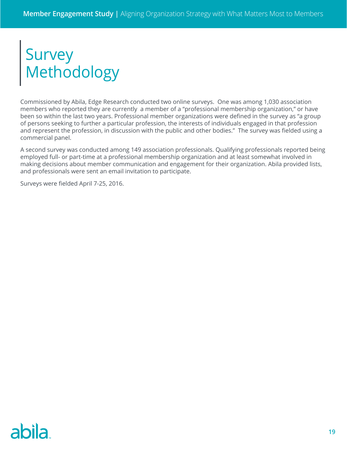## Survey Methodology

Commissioned by Abila, Edge Research conducted two online surveys. One was among 1,030 association members who reported they are currently a member of a "professional membership organization," or have been so within the last two years. Professional member organizations were defined in the survey as "a group of persons seeking to further a particular profession, the interests of individuals engaged in that profession and represent the profession, in discussion with the public and other bodies." The survey was fielded using a commercial panel.

A second survey was conducted among 149 association professionals. Qualifying professionals reported being employed full- or part-time at a professional membership organization and at least somewhat involved in making decisions about member communication and engagement for their organization. Abila provided lists, and professionals were sent an email invitation to participate.

Surveys were fielded April 7-25, 2016.